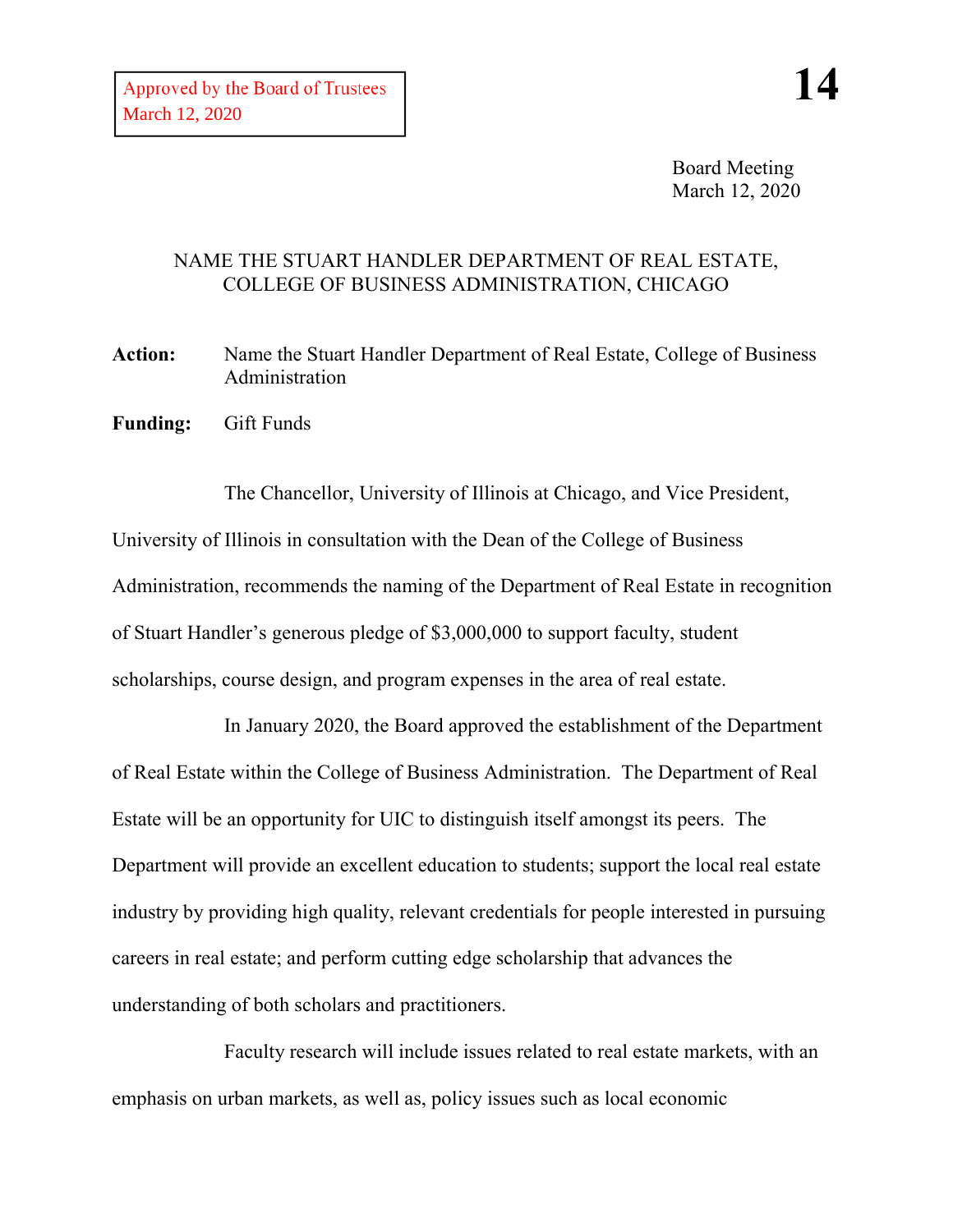Board Meeting March 12, 2020

## NAME THE STUART HANDLER DEPARTMENT OF REAL ESTATE, COLLEGE OF BUSINESS ADMINISTRATION, CHICAGO

**Action:** Name the Stuart Handler Department of Real Estate, College of Business Administration

**Funding:** Gift Funds

The Chancellor, University of Illinois at Chicago, and Vice President, University of Illinois in consultation with the Dean of the College of Business Administration, recommends the naming of the Department of Real Estate in recognition of Stuart Handler's generous pledge of \$3,000,000 to support faculty, student scholarships, course design, and program expenses in the area of real estate.

In January 2020, the Board approved the establishment of the Department of Real Estate within the College of Business Administration. The Department of Real Estate will be an opportunity for UIC to distinguish itself amongst its peers. The Department will provide an excellent education to students; support the local real estate industry by providing high quality, relevant credentials for people interested in pursuing careers in real estate; and perform cutting edge scholarship that advances the understanding of both scholars and practitioners.

Faculty research will include issues related to real estate markets, with an emphasis on urban markets, as well as, policy issues such as local economic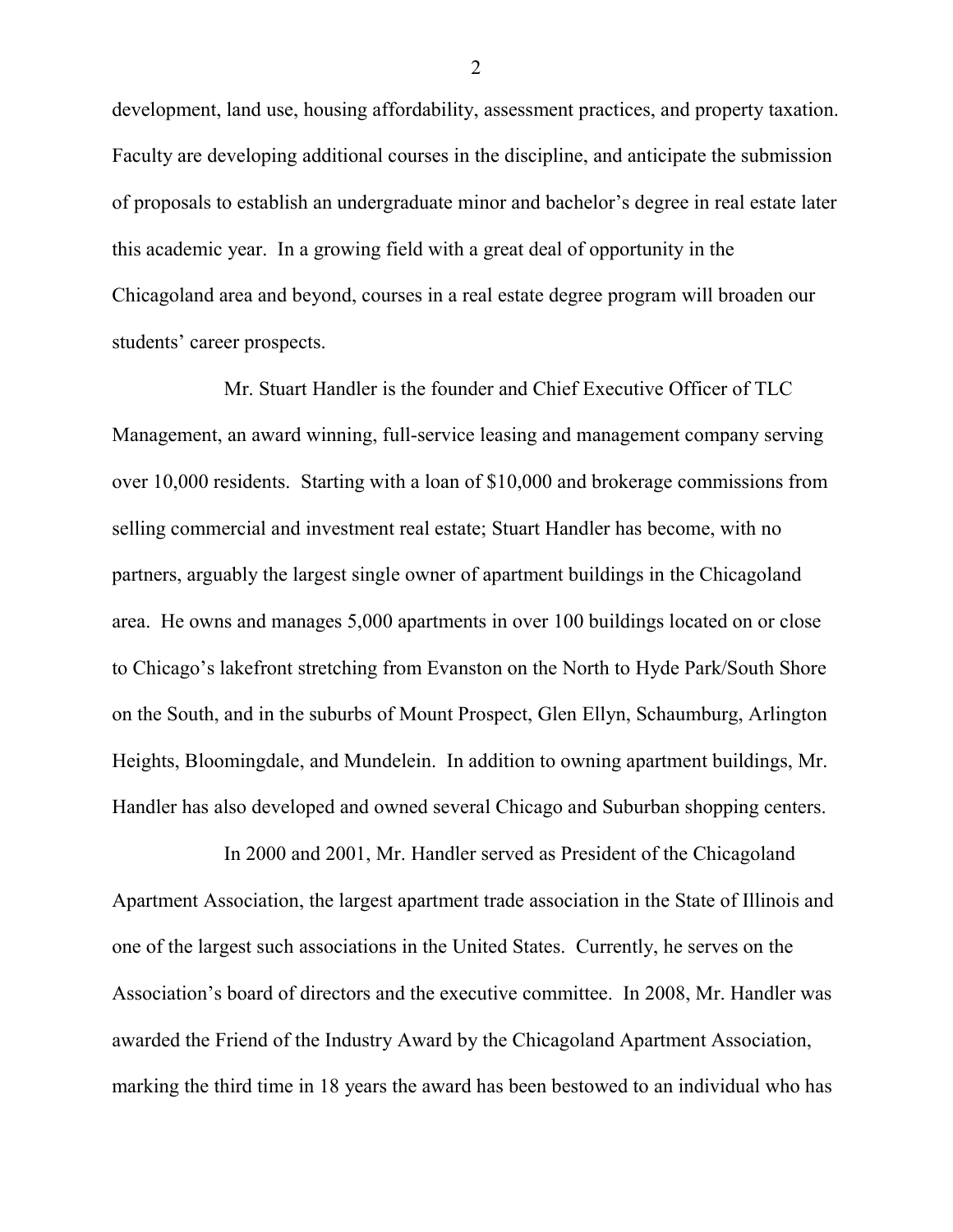development, land use, housing affordability, assessment practices, and property taxation. Faculty are developing additional courses in the discipline, and anticipate the submission of proposals to establish an undergraduate minor and bachelor's degree in real estate later this academic year. In a growing field with a great deal of opportunity in the Chicagoland area and beyond, courses in a real estate degree program will broaden our students' career prospects.

Mr. Stuart Handler is the founder and Chief Executive Officer of TLC Management, an award winning, full-service leasing and management company serving over 10,000 residents. Starting with a loan of \$10,000 and brokerage commissions from selling commercial and investment real estate; Stuart Handler has become, with no partners, arguably the largest single owner of apartment buildings in the Chicagoland area. He owns and manages 5,000 apartments in over 100 buildings located on or close to Chicago's lakefront stretching from Evanston on the North to Hyde Park/South Shore on the South, and in the suburbs of Mount Prospect, Glen Ellyn, Schaumburg, Arlington Heights, Bloomingdale, and Mundelein. In addition to owning apartment buildings, Mr. Handler has also developed and owned several Chicago and Suburban shopping centers.

In 2000 and 2001, Mr. Handler served as President of the Chicagoland Apartment Association, the largest apartment trade association in the State of Illinois and one of the largest such associations in the United States. Currently, he serves on the Association's board of directors and the executive committee. In 2008, Mr. Handler was awarded the Friend of the Industry Award by the Chicagoland Apartment Association, marking the third time in 18 years the award has been bestowed to an individual who has

2